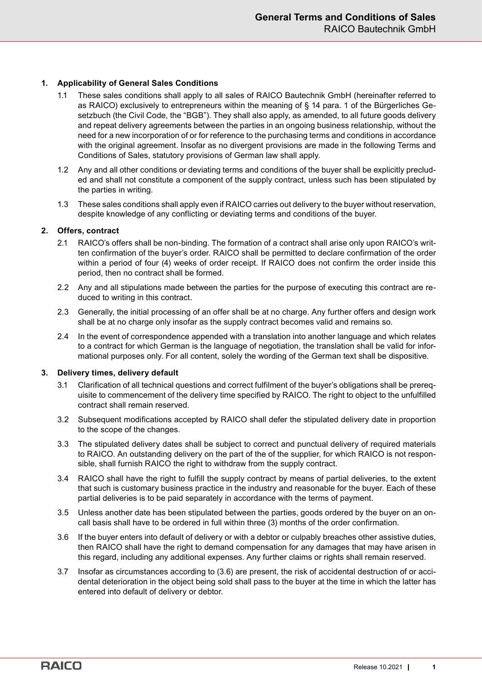## **1. Applicability of General Sales Conditions**

- 1.1 These sales conditions shall apply to all sales of RAICO Bautechnik GmbH (hereinafter referred to as RAICO) exclusively to entrepreneurs within the meaning of § 14 para. 1 of the Bürgerliches Gesetzbuch (the Civil Code, the "BGB"). They shall also apply, as amended, to all future goods delivery and repeat delivery agreements between the parties in an ongoing business relationship, without the need for a new incorporation of or for reference to the purchasing terms and conditions in accordance with the original agreement. Insofar as no divergent provisions are made in the following Terms and Conditions of Sales, statutory provisions of German law shall apply.
- 1.2 Any and all other conditions or deviating terms and conditions of the buyer shall be explicitly precluded and shall not constitute a component of the supply contract, unless such has been stipulated by the parties in writing.
- 1.3 These sales conditions shall apply even if RAICO carries out delivery to the buyer without reservation, despite knowledge of any conflicting or deviating terms and conditions of the buyer.

### **2. Offers, contract**

- 2.1 RAICO's offers shall be non-binding. The formation of a contract shall arise only upon RAICO's written confirmation of the buyer's order. RAICO shall be permitted to declare confirmation of the order within a period of four (4) weeks of order receipt. If RAICO does not confirm the order inside this period, then no contract shall be formed.
- 2.2 Any and all stipulations made between the parties for the purpose of executing this contract are reduced to writing in this contract.
- 2.3 Generally, the initial processing of an offer shall be at no charge. Any further offers and design work shall be at no charge only insofar as the supply contract becomes valid and remains so.
- 2.4 In the event of correspondence appended with a translation into another language and which relates to a contract for which German is the language of negotiation, the translation shall be valid for informational purposes only. For all content, solely the wording of the German text shall be dispositive.

### **3. Delivery times, delivery default**

- 3.1 Clarification of all technical questions and correct fulfilment of the buyer's obligations shall be prerequisite to commencement of the delivery time specified by RAICO. The right to object to the unfulfilled contract shall remain reserved.
- 3.2 Subsequent modifications accepted by RAICO shall defer the stipulated delivery date in proportion to the scope of the changes.
- 3.3 The stipulated delivery dates shall be subject to correct and punctual delivery of required materials to RAICO. An outstanding delivery on the part of the of the supplier, for which RAICO is not responsible, shall furnish RAICO the right to withdraw from the supply contract.
- 3.4 RAICO shall have the right to fulfill the supply contract by means of partial deliveries, to the extent that such is customary business practice in the industry and reasonable for the buyer. Each of these partial deliveries is to be paid separately in accordance with the terms of payment.
- 3.5 Unless another date has been stipulated between the parties, goods ordered by the buyer on an oncall basis shall have to be ordered in full within three (3) months of the order confirmation.
- 3.6 If the buyer enters into default of delivery or with a debtor or culpably breaches other assistive duties, then RAICO shall have the right to demand compensation for any damages that may have arisen in this regard, including any additional expenses. Any further claims or rights shall remain reserved.
- 3.7 Insofar as circumstances according to (3.6) are present, the risk of accidental destruction of or accidental deterioration in the object being sold shall pass to the buyer at the time in which the latter has entered into default of delivery or debtor.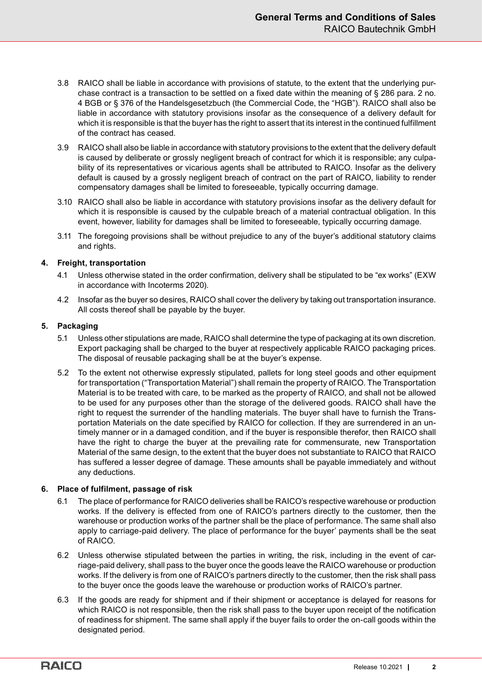- 3.8 RAICO shall be liable in accordance with provisions of statute, to the extent that the underlying purchase contract is a transaction to be settled on a fixed date within the meaning of § 286 para. 2 no. 4 BGB or § 376 of the Handelsgesetzbuch (the Commercial Code, the "HGB"). RAICO shall also be liable in accordance with statutory provisions insofar as the consequence of a delivery default for which it is responsible is that the buyer has the right to assert that its interest in the continued fulfillment of the contract has ceased.
- 3.9 RAICO shall also be liable in accordance with statutory provisions to the extent that the delivery default is caused by deliberate or grossly negligent breach of contract for which it is responsible; any culpability of its representatives or vicarious agents shall be attributed to RAICO. Insofar as the delivery default is caused by a grossly negligent breach of contract on the part of RAICO, liability to render compensatory damages shall be limited to foreseeable, typically occurring damage.
- 3.10 RAICO shall also be liable in accordance with statutory provisions insofar as the delivery default for which it is responsible is caused by the culpable breach of a material contractual obligation. In this event, however, liability for damages shall be limited to foreseeable, typically occurring damage.
- 3.11 The foregoing provisions shall be without prejudice to any of the buyer's additional statutory claims and rights.

### **4. Freight, transportation**

- 4.1 Unless otherwise stated in the order confirmation, delivery shall be stipulated to be "ex works" (EXW in accordance with Incoterms 2020).
- 4.2 Insofar as the buyer so desires, RAICO shall cover the delivery by taking out transportation insurance. All costs thereof shall be payable by the buyer.

### **5. Packaging**

- 5.1 Unless other stipulations are made, RAICO shall determine the type of packaging at its own discretion. Export packaging shall be charged to the buyer at respectively applicable RAICO packaging prices. The disposal of reusable packaging shall be at the buyer's expense.
- 5.2 To the extent not otherwise expressly stipulated, pallets for long steel goods and other equipment for transportation ("Transportation Material") shall remain the property of RAICO. The Transportation Material is to be treated with care, to be marked as the property of RAICO, and shall not be allowed to be used for any purposes other than the storage of the delivered goods. RAICO shall have the right to request the surrender of the handling materials. The buyer shall have to furnish the Transportation Materials on the date specified by RAICO for collection. If they are surrendered in an untimely manner or in a damaged condition, and if the buyer is responsible therefor, then RAICO shall have the right to charge the buyer at the prevailing rate for commensurate, new Transportation Material of the same design, to the extent that the buyer does not substantiate to RAICO that RAICO has suffered a lesser degree of damage. These amounts shall be payable immediately and without any deductions.

# **6. Place of fulfilment, passage of risk**

- 6.1 The place of performance for RAICO deliveries shall be RAICO's respective warehouse or production works. If the delivery is effected from one of RAICO's partners directly to the customer, then the warehouse or production works of the partner shall be the place of performance. The same shall also apply to carriage-paid delivery. The place of performance for the buyer' payments shall be the seat of RAICO.
- 6.2 Unless otherwise stipulated between the parties in writing, the risk, including in the event of carriage-paid delivery, shall pass to the buyer once the goods leave the RAICO warehouse or production works. If the delivery is from one of RAICO's partners directly to the customer, then the risk shall pass to the buyer once the goods leave the warehouse or production works of RAICO's partner.
- 6.3 If the goods are ready for shipment and if their shipment or acceptance is delayed for reasons for which RAICO is not responsible, then the risk shall pass to the buyer upon receipt of the notification of readiness for shipment. The same shall apply if the buyer fails to order the on-call goods within the designated period.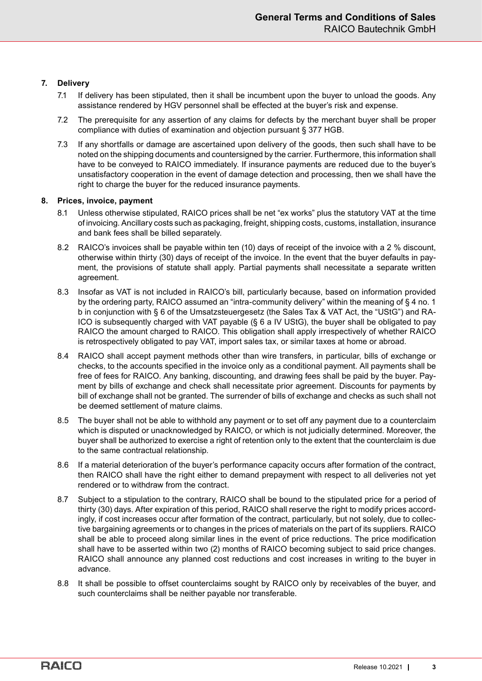## **7. Delivery**

- 7.1 If delivery has been stipulated, then it shall be incumbent upon the buyer to unload the goods. Any assistance rendered by HGV personnel shall be effected at the buyer's risk and expense.
- 7.2 The prerequisite for any assertion of any claims for defects by the merchant buyer shall be proper compliance with duties of examination and objection pursuant § 377 HGB.
- 7.3 If any shortfalls or damage are ascertained upon delivery of the goods, then such shall have to be noted on the shipping documents and countersigned by the carrier. Furthermore, this information shall have to be conveyed to RAICO immediately. If insurance payments are reduced due to the buyer's unsatisfactory cooperation in the event of damage detection and processing, then we shall have the right to charge the buyer for the reduced insurance payments.

## **8. Prices, invoice, payment**

- 8.1 Unless otherwise stipulated, RAICO prices shall be net "ex works" plus the statutory VAT at the time of invoicing. Ancillary costs such as packaging, freight, shipping costs, customs, installation, insurance and bank fees shall be billed separately.
- 8.2 RAICO's invoices shall be payable within ten (10) days of receipt of the invoice with a 2 % discount, otherwise within thirty (30) days of receipt of the invoice. In the event that the buyer defaults in payment, the provisions of statute shall apply. Partial payments shall necessitate a separate written agreement.
- 8.3 Insofar as VAT is not included in RAICO's bill, particularly because, based on information provided by the ordering party, RAICO assumed an "intra-community delivery" within the meaning of § 4 no. 1 b in conjunction with § 6 of the Umsatzsteuergesetz (the Sales Tax & VAT Act, the "UStG") and RA-ICO is subsequently charged with VAT payable (§ 6 a IV UStG), the buyer shall be obligated to pay RAICO the amount charged to RAICO. This obligation shall apply irrespectively of whether RAICO is retrospectively obligated to pay VAT, import sales tax, or similar taxes at home or abroad.
- 8.4 RAICO shall accept payment methods other than wire transfers, in particular, bills of exchange or checks, to the accounts specified in the invoice only as a conditional payment. All payments shall be free of fees for RAICO. Any banking, discounting, and drawing fees shall be paid by the buyer. Payment by bills of exchange and check shall necessitate prior agreement. Discounts for payments by bill of exchange shall not be granted. The surrender of bills of exchange and checks as such shall not be deemed settlement of mature claims.
- 8.5 The buyer shall not be able to withhold any payment or to set off any payment due to a counterclaim which is disputed or unacknowledged by RAICO, or which is not judicially determined. Moreover, the buyer shall be authorized to exercise a right of retention only to the extent that the counterclaim is due to the same contractual relationship.
- 8.6 If a material deterioration of the buyer's performance capacity occurs after formation of the contract, then RAICO shall have the right either to demand prepayment with respect to all deliveries not yet rendered or to withdraw from the contract.
- 8.7 Subject to a stipulation to the contrary, RAICO shall be bound to the stipulated price for a period of thirty (30) days. After expiration of this period, RAICO shall reserve the right to modify prices accordingly, if cost increases occur after formation of the contract, particularly, but not solely, due to collective bargaining agreements or to changes in the prices of materials on the part of its suppliers. RAICO shall be able to proceed along similar lines in the event of price reductions. The price modification shall have to be asserted within two (2) months of RAICO becoming subject to said price changes. RAICO shall announce any planned cost reductions and cost increases in writing to the buyer in advance.
- 8.8 It shall be possible to offset counterclaims sought by RAICO only by receivables of the buyer, and such counterclaims shall be neither payable nor transferable.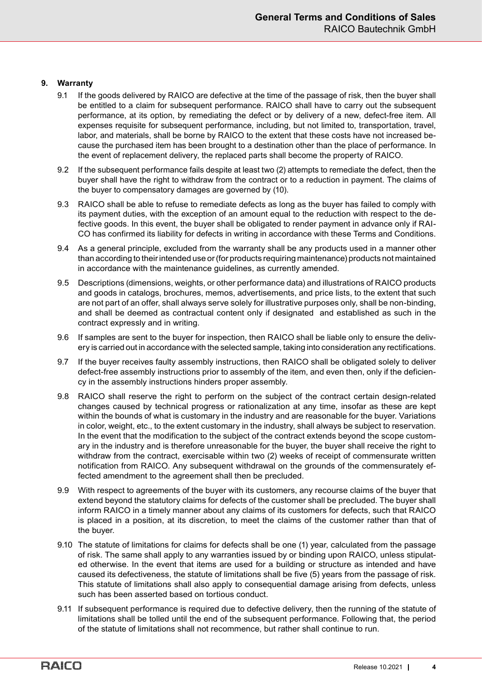### **9. Warranty**

- 9.1 If the goods delivered by RAICO are defective at the time of the passage of risk, then the buyer shall be entitled to a claim for subsequent performance. RAICO shall have to carry out the subsequent performance, at its option, by remediating the defect or by delivery of a new, defect-free item. All expenses requisite for subsequent performance, including, but not limited to, transportation, travel, labor, and materials, shall be borne by RAICO to the extent that these costs have not increased because the purchased item has been brought to a destination other than the place of performance. In the event of replacement delivery, the replaced parts shall become the property of RAICO.
- 9.2 If the subsequent performance fails despite at least two (2) attempts to remediate the defect, then the buyer shall have the right to withdraw from the contract or to a reduction in payment. The claims of the buyer to compensatory damages are governed by (10).
- 9.3 RAICO shall be able to refuse to remediate defects as long as the buyer has failed to comply with its payment duties, with the exception of an amount equal to the reduction with respect to the defective goods. In this event, the buyer shall be obligated to render payment in advance only if RAI-CO has confirmed its liability for defects in writing in accordance with these Terms and Conditions.
- 9.4 As a general principle, excluded from the warranty shall be any products used in a manner other than according to their intended use or (for products requiring maintenance) products not maintained in accordance with the maintenance guidelines, as currently amended.
- 9.5 Descriptions (dimensions, weights, or other performance data) and illustrations of RAICO products and goods in catalogs, brochures, memos, advertisements, and price lists, to the extent that such are not part of an offer, shall always serve solely for illustrative purposes only, shall be non-binding, and shall be deemed as contractual content only if designated and established as such in the contract expressly and in writing.
- 9.6 If samples are sent to the buyer for inspection, then RAICO shall be liable only to ensure the delivery is carried out in accordance with the selected sample, taking into consideration any rectifications.
- 9.7 If the buyer receives faulty assembly instructions, then RAICO shall be obligated solely to deliver defect-free assembly instructions prior to assembly of the item, and even then, only if the deficiency in the assembly instructions hinders proper assembly.
- 9.8 RAICO shall reserve the right to perform on the subject of the contract certain design-related changes caused by technical progress or rationalization at any time, insofar as these are kept within the bounds of what is customary in the industry and are reasonable for the buyer. Variations in color, weight, etc., to the extent customary in the industry, shall always be subject to reservation. In the event that the modification to the subject of the contract extends beyond the scope customary in the industry and is therefore unreasonable for the buyer, the buyer shall receive the right to withdraw from the contract, exercisable within two (2) weeks of receipt of commensurate written notification from RAICO. Any subsequent withdrawal on the grounds of the commensurately effected amendment to the agreement shall then be precluded.
- 9.9 With respect to agreements of the buyer with its customers, any recourse claims of the buyer that extend beyond the statutory claims for defects of the customer shall be precluded. The buyer shall inform RAICO in a timely manner about any claims of its customers for defects, such that RAICO is placed in a position, at its discretion, to meet the claims of the customer rather than that of the buyer.
- 9.10 The statute of limitations for claims for defects shall be one (1) year, calculated from the passage of risk. The same shall apply to any warranties issued by or binding upon RAICO, unless stipulated otherwise. In the event that items are used for a building or structure as intended and have caused its defectiveness, the statute of limitations shall be five (5) years from the passage of risk. This statute of limitations shall also apply to consequential damage arising from defects, unless such has been asserted based on tortious conduct.
- 9.11 If subsequent performance is required due to defective delivery, then the running of the statute of limitations shall be tolled until the end of the subsequent performance. Following that, the period of the statute of limitations shall not recommence, but rather shall continue to run.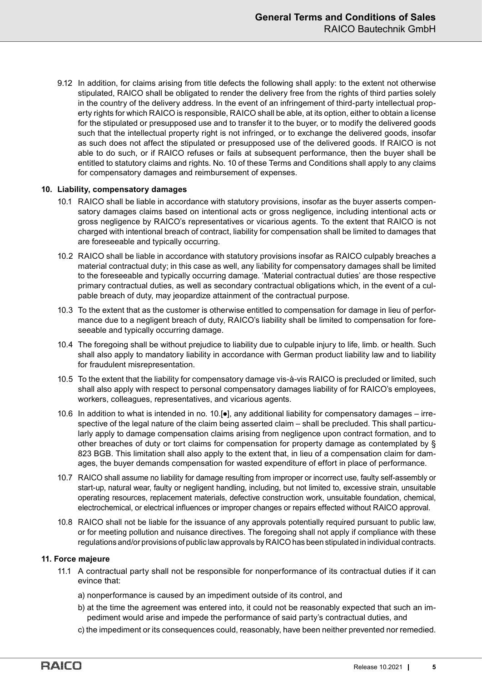9.12 In addition, for claims arising from title defects the following shall apply: to the extent not otherwise stipulated, RAICO shall be obligated to render the delivery free from the rights of third parties solely in the country of the delivery address. In the event of an infringement of third-party intellectual property rights for which RAICO is responsible, RAICO shall be able, at its option, either to obtain a license for the stipulated or presupposed use and to transfer it to the buyer, or to modify the delivered goods such that the intellectual property right is not infringed, or to exchange the delivered goods, insofar as such does not affect the stipulated or presupposed use of the delivered goods. If RAICO is not able to do such, or if RAICO refuses or fails at subsequent performance, then the buyer shall be entitled to statutory claims and rights. No. 10 of these Terms and Conditions shall apply to any claims for compensatory damages and reimbursement of expenses.

### **10. Liability, compensatory damages**

- 10.1 RAICO shall be liable in accordance with statutory provisions, insofar as the buyer asserts compensatory damages claims based on intentional acts or gross negligence, including intentional acts or gross negligence by RAICO's representatives or vicarious agents. To the extent that RAICO is not charged with intentional breach of contract, liability for compensation shall be limited to damages that are foreseeable and typically occurring.
- 10.2 RAICO shall be liable in accordance with statutory provisions insofar as RAICO culpably breaches a material contractual duty; in this case as well, any liability for compensatory damages shall be limited to the foreseeable and typically occurring damage. 'Material contractual duties' are those respective primary contractual duties, as well as secondary contractual obligations which, in the event of a culpable breach of duty, may jeopardize attainment of the contractual purpose.
- 10.3 To the extent that as the customer is otherwise entitled to compensation for damage in lieu of performance due to a negligent breach of duty, RAICO's liability shall be limited to compensation for foreseeable and typically occurring damage.
- 10.4 The foregoing shall be without prejudice to liability due to culpable injury to life, limb. or health. Such shall also apply to mandatory liability in accordance with German product liability law and to liability for fraudulent misrepresentation.
- 10.5 To the extent that the liability for compensatory damage vis-à-vis RAICO is precluded or limited, such shall also apply with respect to personal compensatory damages liability of for RAICO's employees, workers, colleagues, representatives, and vicarious agents.
- 10.6 In addition to what is intended in no. 10.[●], any additional liability for compensatory damages irrespective of the legal nature of the claim being asserted claim – shall be precluded. This shall particularly apply to damage compensation claims arising from negligence upon contract formation, and to other breaches of duty or tort claims for compensation for property damage as contemplated by § 823 BGB. This limitation shall also apply to the extent that, in lieu of a compensation claim for damages, the buyer demands compensation for wasted expenditure of effort in place of performance.
- 10.7 RAICO shall assume no liability for damage resulting from improper or incorrect use, faulty self-assembly or start-up, natural wear, faulty or negligent handling, including, but not limited to, excessive strain, unsuitable operating resources, replacement materials, defective construction work, unsuitable foundation, chemical, electrochemical, or electrical influences or improper changes or repairs effected without RAICO approval.
- 10.8 RAICO shall not be liable for the issuance of any approvals potentially required pursuant to public law, or for meeting pollution and nuisance directives. The foregoing shall not apply if compliance with these regulations and/or provisions of public law approvals by RAICO has been stipulated in individual contracts.

#### **11. Force majeure**

- 11.1 A contractual party shall not be responsible for nonperformance of its contractual duties if it can evince that:
	- a) nonperformance is caused by an impediment outside of its control, and
	- b) at the time the agreement was entered into, it could not be reasonably expected that such an impediment would arise and impede the performance of said party's contractual duties, and
	- c) the impediment or its consequences could, reasonably, have been neither prevented nor remedied.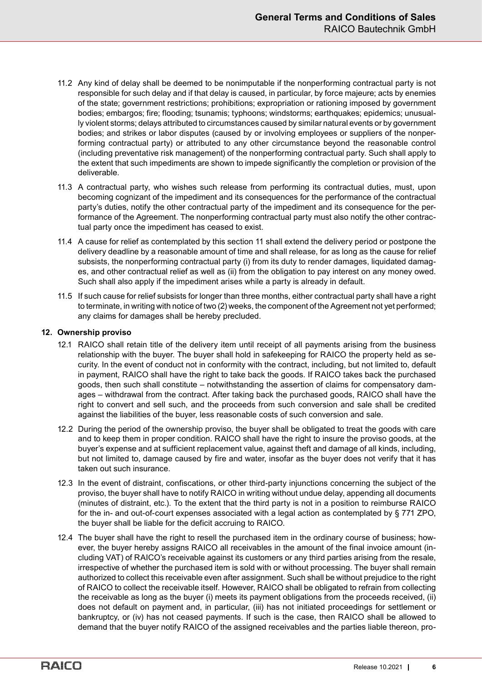- 11.2 Any kind of delay shall be deemed to be nonimputable if the nonperforming contractual party is not responsible for such delay and if that delay is caused, in particular, by force majeure; acts by enemies of the state; government restrictions; prohibitions; expropriation or rationing imposed by government bodies; embargos; fire; flooding; tsunamis; typhoons; windstorms; earthquakes; epidemics; unusually violent storms; delays attributed to circumstances caused by similar natural events or by government bodies; and strikes or labor disputes (caused by or involving employees or suppliers of the nonperforming contractual party) or attributed to any other circumstance beyond the reasonable control (including preventative risk management) of the nonperforming contractual party. Such shall apply to the extent that such impediments are shown to impede significantly the completion or provision of the deliverable.
- 11.3 A contractual party, who wishes such release from performing its contractual duties, must, upon becoming cognizant of the impediment and its consequences for the performance of the contractual party's duties, notify the other contractual party of the impediment and its consequence for the performance of the Agreement. The nonperforming contractual party must also notify the other contractual party once the impediment has ceased to exist.
- 11.4 A cause for relief as contemplated by this section 11 shall extend the delivery period or postpone the delivery deadline by a reasonable amount of time and shall release, for as long as the cause for relief subsists, the nonperforming contractual party (i) from its duty to render damages, liquidated damages, and other contractual relief as well as (ii) from the obligation to pay interest on any money owed. Such shall also apply if the impediment arises while a party is already in default.
- 11.5 If such cause for relief subsists for longer than three months, either contractual party shall have a right to terminate, in writing with notice of two (2) weeks, the component of the Agreement not yet performed; any claims for damages shall be hereby precluded.

## **12. Ownership proviso**

- 12.1 RAICO shall retain title of the delivery item until receipt of all payments arising from the business relationship with the buyer. The buyer shall hold in safekeeping for RAICO the property held as security. In the event of conduct not in conformity with the contract, including, but not limited to, default in payment, RAICO shall have the right to take back the goods. If RAICO takes back the purchased goods, then such shall constitute – notwithstanding the assertion of claims for compensatory damages – withdrawal from the contract. After taking back the purchased goods, RAICO shall have the right to convert and sell such, and the proceeds from such conversion and sale shall be credited against the liabilities of the buyer, less reasonable costs of such conversion and sale.
- 12.2 During the period of the ownership proviso, the buyer shall be obligated to treat the goods with care and to keep them in proper condition. RAICO shall have the right to insure the proviso goods, at the buyer's expense and at sufficient replacement value, against theft and damage of all kinds, including, but not limited to, damage caused by fire and water, insofar as the buyer does not verify that it has taken out such insurance.
- 12.3 In the event of distraint, confiscations, or other third-party injunctions concerning the subject of the proviso, the buyer shall have to notify RAICO in writing without undue delay, appending all documents (minutes of distraint, etc.). To the extent that the third party is not in a position to reimburse RAICO for the in- and out-of-court expenses associated with a legal action as contemplated by § 771 ZPO, the buyer shall be liable for the deficit accruing to RAICO.
- 12.4 The buyer shall have the right to resell the purchased item in the ordinary course of business; however, the buyer hereby assigns RAICO all receivables in the amount of the final invoice amount (including VAT) of RAICO's receivable against its customers or any third parties arising from the resale, irrespective of whether the purchased item is sold with or without processing. The buyer shall remain authorized to collect this receivable even after assignment. Such shall be without prejudice to the right of RAICO to collect the receivable itself. However, RAICO shall be obligated to refrain from collecting the receivable as long as the buyer (i) meets its payment obligations from the proceeds received, (ii) does not default on payment and, in particular, (iii) has not initiated proceedings for settlement or bankruptcy, or (iv) has not ceased payments. If such is the case, then RAICO shall be allowed to demand that the buyer notify RAICO of the assigned receivables and the parties liable thereon, pro-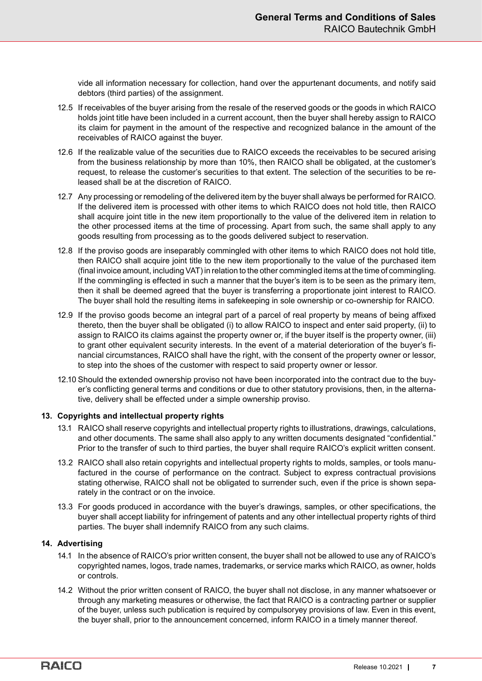vide all information necessary for collection, hand over the appurtenant documents, and notify said debtors (third parties) of the assignment.

- 12.5 If receivables of the buyer arising from the resale of the reserved goods or the goods in which RAICO holds joint title have been included in a current account, then the buyer shall hereby assign to RAICO its claim for payment in the amount of the respective and recognized balance in the amount of the receivables of RAICO against the buyer.
- 12.6 If the realizable value of the securities due to RAICO exceeds the receivables to be secured arising from the business relationship by more than 10%, then RAICO shall be obligated, at the customer's request, to release the customer's securities to that extent. The selection of the securities to be released shall be at the discretion of RAICO.
- 12.7 Any processing or remodeling of the delivered item by the buyer shall always be performed for RAICO. If the delivered item is processed with other items to which RAICO does not hold title, then RAICO shall acquire joint title in the new item proportionally to the value of the delivered item in relation to the other processed items at the time of processing. Apart from such, the same shall apply to any goods resulting from processing as to the goods delivered subject to reservation.
- 12.8 If the proviso goods are inseparably commingled with other items to which RAICO does not hold title, then RAICO shall acquire joint title to the new item proportionally to the value of the purchased item (final invoice amount, including VAT) in relation to the other commingled items at the time of commingling. If the commingling is effected in such a manner that the buyer's item is to be seen as the primary item, then it shall be deemed agreed that the buyer is transferring a proportionate joint interest to RAICO. The buyer shall hold the resulting items in safekeeping in sole ownership or co-ownership for RAICO.
- 12.9 If the proviso goods become an integral part of a parcel of real property by means of being affixed thereto, then the buyer shall be obligated (i) to allow RAICO to inspect and enter said property, (ii) to assign to RAICO its claims against the property owner or, if the buyer itself is the property owner, (iii) to grant other equivalent security interests. In the event of a material deterioration of the buyer's financial circumstances, RAICO shall have the right, with the consent of the property owner or lessor, to step into the shoes of the customer with respect to said property owner or lessor.
- 12.10 Should the extended ownership proviso not have been incorporated into the contract due to the buyer's conflicting general terms and conditions or due to other statutory provisions, then, in the alternative, delivery shall be effected under a simple ownership proviso.

### **13. Copyrights and intellectual property rights**

- 13.1 RAICO shall reserve copyrights and intellectual property rights to illustrations, drawings, calculations, and other documents. The same shall also apply to any written documents designated "confidential." Prior to the transfer of such to third parties, the buyer shall require RAICO's explicit written consent.
- 13.2 RAICO shall also retain copyrights and intellectual property rights to molds, samples, or tools manufactured in the course of performance on the contract. Subject to express contractual provisions stating otherwise, RAICO shall not be obligated to surrender such, even if the price is shown separately in the contract or on the invoice.
- 13.3 For goods produced in accordance with the buyer's drawings, samples, or other specifications, the buyer shall accept liability for infringement of patents and any other intellectual property rights of third parties. The buyer shall indemnify RAICO from any such claims.

### **14. Advertising**

- 14.1 In the absence of RAICO's prior written consent, the buyer shall not be allowed to use any of RAICO's copyrighted names, logos, trade names, trademarks, or service marks which RAICO, as owner, holds or controls.
- 14.2 Without the prior written consent of RAICO, the buyer shall not disclose, in any manner whatsoever or through any marketing measures or otherwise, the fact that RAICO is a contracting partner or supplier of the buyer, unless such publication is required by compulsoryey provisions of law. Even in this event, the buyer shall, prior to the announcement concerned, inform RAICO in a timely manner thereof.